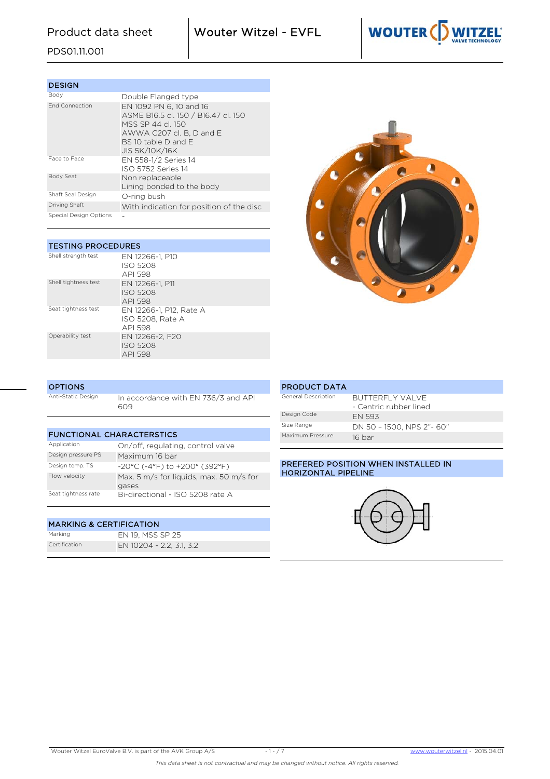Product data sheet  $\blacksquare$  Wouter Witzel - EVFL



# PDS01.11.001

| <b>DESIGN</b>          |                                                                                                                                                                |
|------------------------|----------------------------------------------------------------------------------------------------------------------------------------------------------------|
| Body                   | Double Flanged type                                                                                                                                            |
| <b>End Connection</b>  | EN 1092 PN 6, 10 and 16<br>ASME B16.5 cl. 150 / B16.47 cl. 150<br>MSS SP 44 cl 150<br>AWWA C207 cl. B. D and E<br>BS 10 table D and E<br><b>JIS 5K/10K/16K</b> |
| Face to Face           | EN 558-1/2 Series 14<br>ISO 5752 Series 14                                                                                                                     |
| <b>Body Seat</b>       | Non replaceable<br>Lining bonded to the body                                                                                                                   |
| Shaft Seal Design      | O-ring bush                                                                                                                                                    |
| Driving Shaft          | With indication for position of the disc                                                                                                                       |
| Special Design Options |                                                                                                                                                                |

| <b>TESTING PROCEDURES</b> |                                                        |  |  |  |  |  |  |  |  |  |  |  |
|---------------------------|--------------------------------------------------------|--|--|--|--|--|--|--|--|--|--|--|
| Shell strength test       | EN 12266-1, P10<br>ISO 5208<br>API 598                 |  |  |  |  |  |  |  |  |  |  |  |
| Shell tightness test      | EN 12266-1, P11<br><b>ISO 5208</b><br>API 598          |  |  |  |  |  |  |  |  |  |  |  |
| Seat tightness test       | EN 12266-1, P12, Rate A<br>ISO 5208. Rate A<br>API 598 |  |  |  |  |  |  |  |  |  |  |  |
| Operability test          | EN 12266-2. F20<br><b>ISO 5208</b><br>API 598          |  |  |  |  |  |  |  |  |  |  |  |



| <b>OPTIONS</b>     |                                            |
|--------------------|--------------------------------------------|
| Anti-Static Design | In accordance with EN 736/3 and API<br>609 |

| <b>FUNCTIONAL CHARACTERSTICS</b> |                                                  |  |  |  |  |  |  |  |  |  |
|----------------------------------|--------------------------------------------------|--|--|--|--|--|--|--|--|--|
| Application                      | On/off, regulating, control valve                |  |  |  |  |  |  |  |  |  |
| Design pressure PS               | Maximum 16 bar                                   |  |  |  |  |  |  |  |  |  |
| Design temp. TS                  | $-20^{\circ}$ C (-4°F) to $+200^{\circ}$ (392°F) |  |  |  |  |  |  |  |  |  |
| Flow velocity                    | Max. 5 m/s for liquids, max. 50 m/s for<br>gases |  |  |  |  |  |  |  |  |  |
| Seat tightness rate              | Bi-directional - ISO 5208 rate A                 |  |  |  |  |  |  |  |  |  |

# MARKING & CERTIFICATION

Marking EN 19, MSS SP 25 Certification EN 10204 - 2.2, 3.1, 3.2

### PRODUCT DATA General Description BUTTERFLY VALVE - Centric rubber lined Design Code EN 593 Size Range DN 50 – 1500, NPS 2"- 60" Maximum Pressure 16 bar

### PREFERED POSITION WHEN INSTALLED IN HORIZONTAL PIPELINE

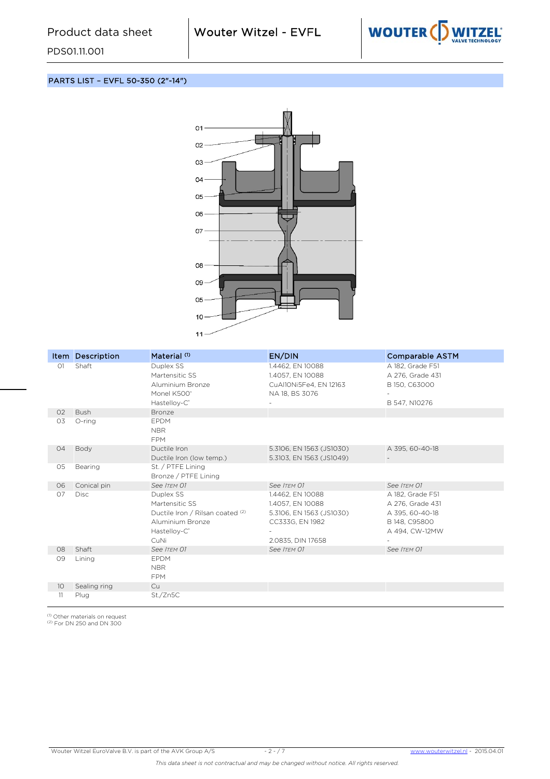

PARTS LIST – EVFL 50-350 (2"-14")

PDS01.11.001



|                | Item Description | Material <sup>(1)</sup>                                                                                                 | EN/DIN                                                                                                   | <b>Comparable ASTM</b>                                                                     |
|----------------|------------------|-------------------------------------------------------------------------------------------------------------------------|----------------------------------------------------------------------------------------------------------|--------------------------------------------------------------------------------------------|
| O <sub>1</sub> | Shaft            | Duplex SS<br>Martensitic SS<br>Aluminium Bronze<br>Monel K500°<br>Hastelloy-C <sup>®</sup>                              | 1.4462, EN 10088<br>1.4057, EN 10088<br>CuAl10Ni5Fe4, EN 12163<br>NA 18, BS 3076                         | A 182, Grade F51<br>A 276, Grade 431<br>B 150, C63000<br>B 547, N10276                     |
| O <sub>2</sub> | <b>Bush</b>      | Bronze                                                                                                                  |                                                                                                          |                                                                                            |
| 03             | O-ring           | <b>EPDM</b><br><b>NBR</b><br><b>FPM</b>                                                                                 |                                                                                                          |                                                                                            |
| 04             | Body             | Ductile Iron<br>Ductile Iron (low temp.)                                                                                | 5.3106, EN 1563 (JS1030)<br>5.3103, EN 1563 (JS1049)                                                     | A 395, 60-40-18                                                                            |
| 05             | Bearing          | St. / PTFE Lining<br>Bronze / PTFE Lining                                                                               |                                                                                                          |                                                                                            |
| 06             | Conical pin      | See ITEM 01                                                                                                             | See ITEM 01                                                                                              | See ITEM 01                                                                                |
| 07             | <b>Disc</b>      | Duplex SS<br>Martensitic SS<br>Ductile Iron / Rilsan coated (2)<br>Aluminium Bronze<br>Hastelloy-C <sup>®</sup><br>CuNi | 1.4462, EN 10088<br>1.4057, EN 10088<br>5.3106, EN 1563 (JS1030)<br>CC333G, EN 1982<br>2.0835, DIN 17658 | A 182, Grade F51<br>A 276, Grade 431<br>A 395, 60-40-18<br>B 148, C95800<br>A 494, CW-12MW |
| 08             | Shaft            | See ITEM 01                                                                                                             | See ITEM 01                                                                                              | See ITEM 01                                                                                |
| 09             | Lining           | <b>EPDM</b><br><b>NBR</b><br><b>FPM</b>                                                                                 |                                                                                                          |                                                                                            |
| 10             | Sealing ring     | Cu                                                                                                                      |                                                                                                          |                                                                                            |
| 11             | Plug             | St./Zn5C                                                                                                                |                                                                                                          |                                                                                            |

<sup>(1)</sup> Other materials on request<br><sup>(2)</sup> For DN 250 and DN 300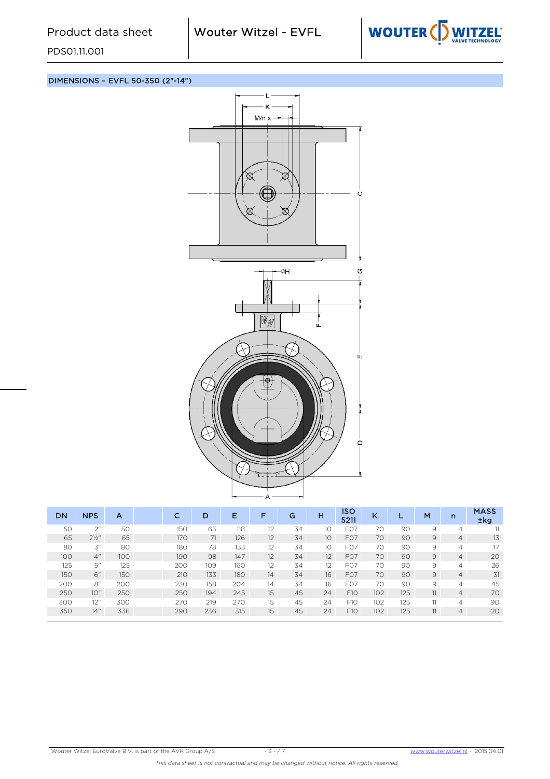

DIMENSIONS – EVFL 50-350 (2"-14")



| <b>DN</b> |     | <b>NPS</b>       | A   | с   | D   | Е   | F  | G  | н               | ISO<br>5211      | K   | ш   | M              | n              | <b>MASS</b><br>$\pm$ kg |
|-----------|-----|------------------|-----|-----|-----|-----|----|----|-----------------|------------------|-----|-----|----------------|----------------|-------------------------|
|           | 50  | 2 <sup>n</sup>   | 50  | 150 | 63  | 118 | 12 | 34 | 10              | F <sub>O</sub> 7 | 70  | 90  | 9              | 4              | 11                      |
|           | 65  | $2\frac{1}{2}$ " | 65  | 170 | 71  | 126 | 12 | 34 | 10 <sup>°</sup> | F <sub>O</sub> 7 | 70  | 90  | $\overline{9}$ | $\overline{4}$ | 13                      |
|           | 80  | 3''              | 80  | 180 | 78  | 133 | 12 | 34 | 10              | FO7              | 70  | 90  | 9              | $\overline{4}$ | 17                      |
|           | 100 | 4"               | 100 | 190 | 98  | 147 | 12 | 34 | 12              | F <sub>O</sub> 7 | 70  | 90  | $\overline{9}$ | $\overline{4}$ | 20                      |
|           | 125 | 5"               | 125 | 200 | 109 | 160 | 12 | 34 | 12              | FO7              | 70  | 90  | 9              | 4              | 26                      |
|           | 150 | 6"               | 150 | 210 | 133 | 180 | 14 | 34 | 16              | F <sub>O</sub> 7 | 70  | 90  | $\overline{9}$ | $\overline{4}$ | 31                      |
|           | 200 | 8"               | 200 | 230 | 158 | 204 | 14 | 34 | 16              | FO7              | 70  | 90  | 9              | 4              | 45                      |
|           | 250 | 10"              | 250 | 250 | 194 | 245 | 15 | 45 | 24              | F10              | 102 | 125 | 11             | $\overline{4}$ | 70                      |
|           | 300 | 12"              | 300 | 270 | 219 | 270 | 15 | 45 | 24              | F10              | 102 | 125 | 11             | 4              | 90                      |
|           | 350 | 14"              | 336 | 290 | 236 | 315 | 15 | 45 | 24              | F10              | 102 | 125 | 11             | $\overline{4}$ | 120                     |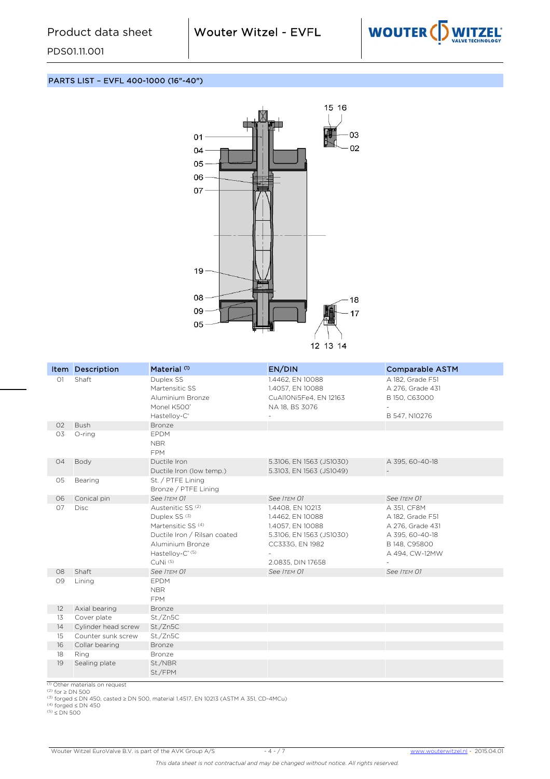

#### PARTS LIST – EVFL 400-1000 (16"-40")



|    | Item Description    | Material <sup>(1)</sup>                                                                                                                                                                              | EN/DIN                                                                                                                       | <b>Comparable ASTM</b>                                                                                    |
|----|---------------------|------------------------------------------------------------------------------------------------------------------------------------------------------------------------------------------------------|------------------------------------------------------------------------------------------------------------------------------|-----------------------------------------------------------------------------------------------------------|
| O1 | Shaft               | Duplex SS<br>Martensitic SS<br>Aluminium Bronze<br>Monel K500°<br>Hastelloy-C <sup>®</sup>                                                                                                           | 1.4462, EN 10088<br>1.4057, EN 10088<br>CuAl10Ni5Fe4, EN 12163<br>NA 18, BS 3076                                             | A 182, Grade F51<br>A 276, Grade 431<br>B 150, C63000<br>B 547, N10276                                    |
| 02 | <b>Bush</b>         | Bronze                                                                                                                                                                                               |                                                                                                                              |                                                                                                           |
| O3 | O-ring              | <b>EPDM</b><br><b>NBR</b><br><b>FPM</b>                                                                                                                                                              |                                                                                                                              |                                                                                                           |
| 04 | Body                | Ductile Iron<br>Ductile Iron (low temp.)                                                                                                                                                             | 5.3106, EN 1563 (JS1030)<br>5.3103, EN 1563 (JS1049)                                                                         | A 395, 60-40-18                                                                                           |
| 05 | Bearing             | St. / PTFE Lining<br>Bronze / PTFE Lining                                                                                                                                                            |                                                                                                                              |                                                                                                           |
| 06 | Conical pin         | See ITEM 01                                                                                                                                                                                          | See ITEM 01                                                                                                                  | See ITEM 01                                                                                               |
| 07 | <b>Disc</b>         | Austenitic SS <sup>(2)</sup><br>Duplex SS <sup>(3)</sup><br>Martensitic SS <sup>(4)</sup><br>Ductile Iron / Rilsan coated<br>Aluminium Bronze<br>Hastelloy-C <sup>® (5)</sup><br>CuNi <sup>(5)</sup> | 1.4408, EN 10213<br>1.4462, EN 10088<br>1.4057, EN 10088<br>5.3106, EN 1563 (JS1030)<br>CC333G, EN 1982<br>2.0835, DIN 17658 | A 351, CF8M<br>A 182, Grade F51<br>A 276, Grade 431<br>A 395, 60-40-18<br>B 148, C95800<br>A 494, CW-12MW |
| 08 | Shaft               | See ITEM 01                                                                                                                                                                                          | See ITEM 01                                                                                                                  | See ITEM 01                                                                                               |
| 09 | Lining              | EPDM<br><b>NBR</b><br><b>FPM</b>                                                                                                                                                                     |                                                                                                                              |                                                                                                           |
| 12 | Axial bearing       | Bronze                                                                                                                                                                                               |                                                                                                                              |                                                                                                           |
| 13 | Cover plate         | St./Zn5C                                                                                                                                                                                             |                                                                                                                              |                                                                                                           |
| 14 | Cylinder head screw | St./Zn5C                                                                                                                                                                                             |                                                                                                                              |                                                                                                           |
| 15 | Counter sunk screw  | St./Zn5C                                                                                                                                                                                             |                                                                                                                              |                                                                                                           |
| 16 | Collar bearing      | Bronze                                                                                                                                                                                               |                                                                                                                              |                                                                                                           |
| 18 | Ring                | Bronze                                                                                                                                                                                               |                                                                                                                              |                                                                                                           |
| 19 | Sealing plate       | St./NBR<br>St./FPM                                                                                                                                                                                   |                                                                                                                              |                                                                                                           |

(1) Other materials on request<br>(2) for ≥ DN 500<br>(3) forged ≤ DN 450, casted ≥ DN 500, material 1.4517, EN 10213 (ASTM A 351, CD-4MCu)<br>(4) forged ≤ DN 450<br>(5) ≤ DN 500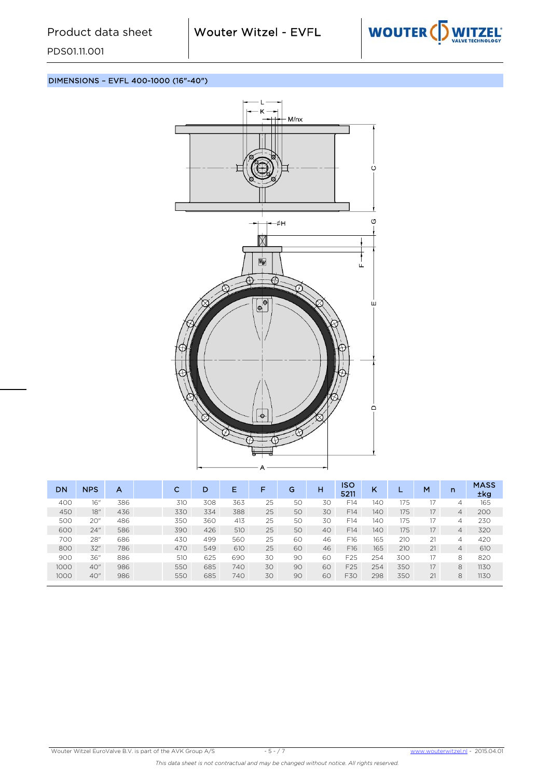

## DIMENSIONS – EVFL 400-1000 (16"-40")



| DN   | <b>NPS</b> | А   | C   | D   | Е   | F  | G  | н  | ISO<br>5211 | Κ   |     | M  | n              | <b>MASS</b><br>±kg |
|------|------------|-----|-----|-----|-----|----|----|----|-------------|-----|-----|----|----------------|--------------------|
| 400  | 16″        | 386 | 310 | 308 | 363 | 25 | 50 | 30 | F14         | 140 | 175 |    | 4              | 165                |
| 450  | 18"        | 436 | 330 | 334 | 388 | 25 | 50 | 30 | F14         | 140 | 175 | 17 | $\overline{4}$ | 200                |
| 500  | 20"        | 486 | 350 | 360 | 413 | 25 | 50 | 30 | F14         | 140 | 175 | 17 | 4              | 230                |
| 600  | 24"        | 586 | 390 | 426 | 510 | 25 | 50 | 40 | F14         | 140 | 175 | 17 | $\overline{4}$ | 320                |
| 700  | 28"        | 686 | 430 | 499 | 560 | 25 | 60 | 46 | F16         | 165 | 210 | 21 | 4              | 420                |
| 800  | 32"        | 786 | 470 | 549 | 610 | 25 | 60 | 46 | F16         | 165 | 210 | 21 | $\overline{4}$ | 610                |
| 900  | 36"        | 886 | 510 | 625 | 690 | 30 | 90 | 60 | F25         | 254 | 300 | 17 | 8              | 820                |
| 1000 | 40"        | 986 | 550 | 685 | 740 | 30 | 90 | 60 | F25         | 254 | 350 | 17 | 8              | 1130               |
| 1000 | 40"        | 986 | 550 | 685 | 740 | 30 | 90 | 60 | F30         | 298 | 350 | 21 | 8              | 1130               |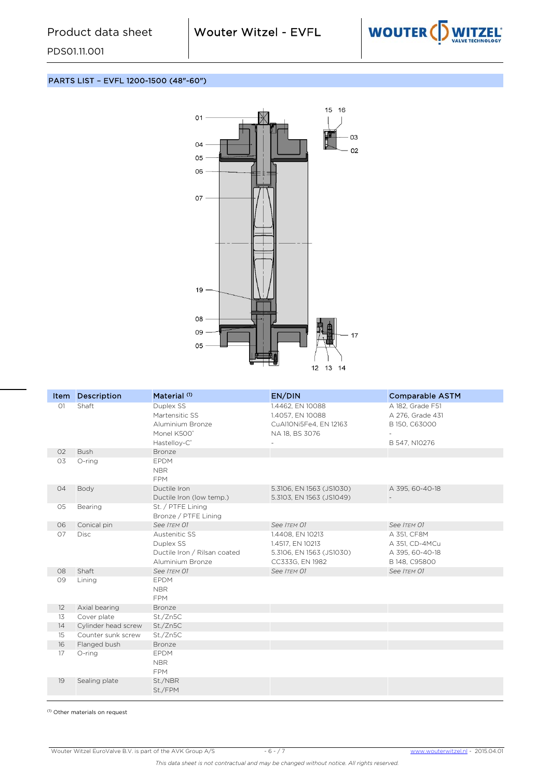

PARTS LIST – EVFL 1200-1500 (48"-60")

PDS01.11.001



| Item           | <b>Description</b>                 | Material <sup>(1)</sup>                                                        | EN/DIN                                                                              | <b>Comparable ASTM</b>                                            |
|----------------|------------------------------------|--------------------------------------------------------------------------------|-------------------------------------------------------------------------------------|-------------------------------------------------------------------|
| O1             | Shaft                              | Duplex SS<br>Martensitic SS<br>Aluminium Bronze<br>Monel K500*                 | 1.4462, EN 10088<br>1.4057, EN 10088<br>CuAl10Ni5Fe4, EN 12163<br>NA 18, BS 3076    | A 182. Grade F51<br>A 276, Grade 431<br>B 150, C63000             |
| O <sub>2</sub> | <b>Bush</b>                        | Hastelloy-C <sup>®</sup><br><b>Bronze</b>                                      |                                                                                     | B 547, N10276                                                     |
| 03             | O-ring                             | <b>EPDM</b><br><b>NBR</b><br><b>FPM</b>                                        |                                                                                     |                                                                   |
| 04             | Body                               | Ductile Iron<br>Ductile Iron (low temp.)                                       | 5.3106, EN 1563 (JS1030)<br>5.3103, EN 1563 (JS1049)                                | A 395, 60-40-18<br>$\overline{\phantom{a}}$                       |
| 05             | Bearing                            | St. / PTFE Lining<br>Bronze / PTFE Lining                                      |                                                                                     |                                                                   |
| 06             | Conical pin                        | See ITEM 01                                                                    | See ITEM 01                                                                         | See ITEM 01                                                       |
| 07             | Disc                               | Austenitic SS<br>Duplex SS<br>Ductile Iron / Rilsan coated<br>Aluminium Bronze | 1.4408, EN 10213<br>1.4517, EN 10213<br>5.3106, EN 1563 (JS1030)<br>CC333G, EN 1982 | A 351, CF8M<br>A 351, CD-4MCu<br>A 395, 60-40-18<br>B 148, C95800 |
| 08             | Shaft                              | See ITEM 01                                                                    | See ITEM 01                                                                         | See ITEM 01                                                       |
| 09             | Lining                             | <b>EPDM</b><br><b>NBR</b><br><b>FPM</b>                                        |                                                                                     |                                                                   |
| 12             | Axial bearing                      | <b>Bronze</b>                                                                  |                                                                                     |                                                                   |
| 13             | Cover plate                        | St./Zn5C                                                                       |                                                                                     |                                                                   |
| 14             | Cylinder head screw                | St./Zn5C                                                                       |                                                                                     |                                                                   |
| 15<br>16       | Counter sunk screw<br>Flanged bush | St./Zn5C<br><b>Bronze</b>                                                      |                                                                                     |                                                                   |
| 17             | O-ring                             | <b>EPDM</b><br><b>NBR</b><br><b>FPM</b>                                        |                                                                                     |                                                                   |
| 19             | Sealing plate                      | St./NBR<br>St./FPM                                                             |                                                                                     |                                                                   |

(1) Other materials on request